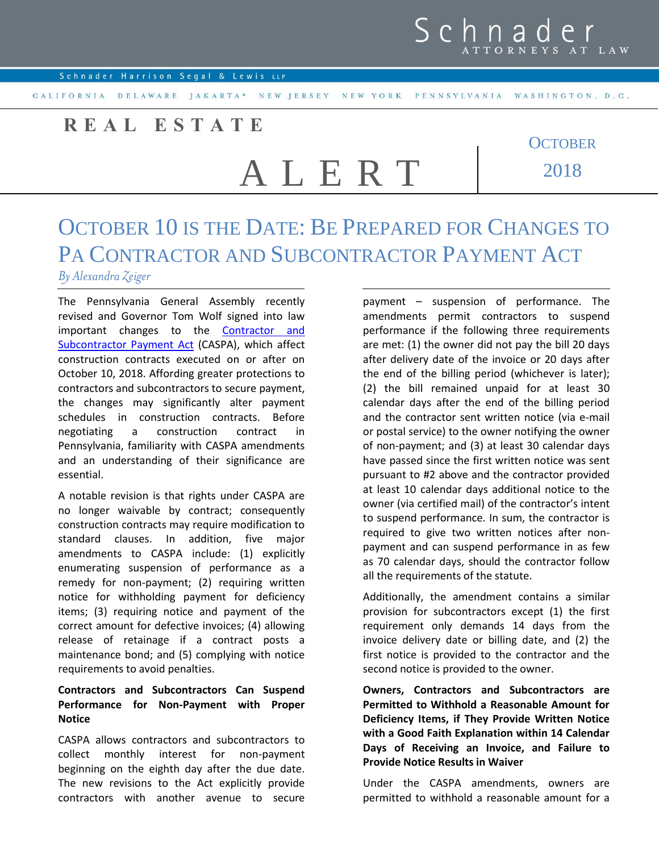### **R E A L E S T A T E**

# A L E R T

**OCTOBER** 2018

## OCTOBER 10 IS THE DATE: BE PREPARED FOR CHANGES TO PA CONTRACTOR AND SUBCONTRACTOR PAYMENT ACT

#### *By Alexandra Zeiger*

The Pennsylvania General Assembly recently revised and Governor Tom Wolf signed into law important changes to the [Contractor and](http://www.legis.state.pa.us/cfdocs/legis/li/uconsCheck.cfm?yr=2018&sessInd=0&act=27)  [Subcontractor Payment Act](http://www.legis.state.pa.us/cfdocs/legis/li/uconsCheck.cfm?yr=2018&sessInd=0&act=27) (CASPA), which affect construction contracts executed on or after on October 10, 2018. Affording greater protections to contractors and subcontractors to secure payment, the changes may significantly alter payment schedules in construction contracts. Before negotiating a construction contract in Pennsylvania, familiarity with CASPA amendments and an understanding of their significance are essential.

A notable revision is that rights under CASPA are no longer waivable by contract; consequently construction contracts may require modification to standard clauses. In addition, five major amendments to CASPA include: (1) explicitly enumerating suspension of performance as a remedy for non-payment; (2) requiring written notice for withholding payment for deficiency items; (3) requiring notice and payment of the correct amount for defective invoices; (4) allowing release of retainage if a contract posts a maintenance bond; and (5) complying with notice requirements to avoid penalties.

#### **Contractors and Subcontractors Can Suspend Performance for Non-Payment with Proper Notice**

CASPA allows contractors and subcontractors to collect monthly interest for non-payment beginning on the eighth day after the due date. The new revisions to the Act explicitly provide contractors with another avenue to secure

payment – suspension of performance. The amendments permit contractors to suspend performance if the following three requirements are met: (1) the owner did not pay the bill 20 days after delivery date of the invoice or 20 days after the end of the billing period (whichever is later); (2) the bill remained unpaid for at least 30 calendar days after the end of the billing period and the contractor sent written notice (via e-mail or postal service) to the owner notifying the owner of non-payment; and (3) at least 30 calendar days have passed since the first written notice was sent pursuant to #2 above and the contractor provided at least 10 calendar days additional notice to the owner (via certified mail) of the contractor's intent to suspend performance. In sum, the contractor is required to give two written notices after nonpayment and can suspend performance in as few as 70 calendar days, should the contractor follow all the requirements of the statute.

Additionally, the amendment contains a similar provision for subcontractors except (1) the first requirement only demands 14 days from the invoice delivery date or billing date, and (2) the first notice is provided to the contractor and the second notice is provided to the owner.

**Owners, Contractors and Subcontractors are Permitted to Withhold a Reasonable Amount for Deficiency Items, if They Provide Written Notice with a Good Faith Explanation within 14 Calendar Days of Receiving an Invoice, and Failure to Provide Notice Results in Waiver**

Under the CASPA amendments, owners are permitted to withhold a reasonable amount for a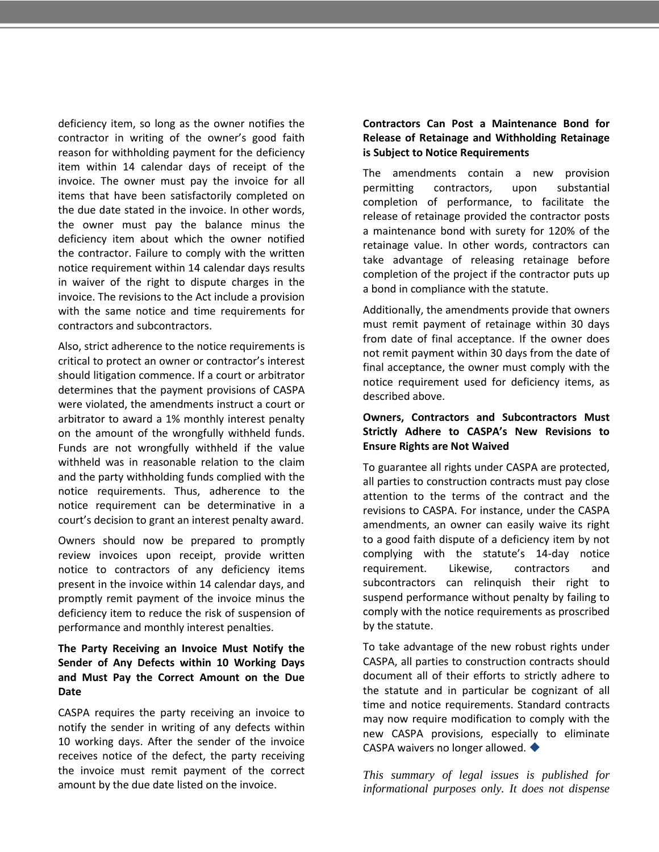deficiency item, so long as the owner notifies the contractor in writing of the owner's good faith reason for withholding payment for the deficiency item within 14 calendar days of receipt of the invoice. The owner must pay the invoice for all items that have been satisfactorily completed on the due date stated in the invoice. In other words, the owner must pay the balance minus the deficiency item about which the owner notified the contractor. Failure to comply with the written notice requirement within 14 calendar days results in waiver of the right to dispute charges in the invoice. The revisions to the Act include a provision with the same notice and time requirements for contractors and subcontractors.

Also, strict adherence to the notice requirements is critical to protect an owner or contractor's interest should litigation commence. If a court or arbitrator determines that the payment provisions of CASPA were violated, the amendments instruct a court or arbitrator to award a 1% monthly interest penalty on the amount of the wrongfully withheld funds. Funds are not wrongfully withheld if the value withheld was in reasonable relation to the claim and the party withholding funds complied with the notice requirements. Thus, adherence to the notice requirement can be determinative in a court's decision to grant an interest penalty award.

Owners should now be prepared to promptly review invoices upon receipt, provide written notice to contractors of any deficiency items present in the invoice within 14 calendar days, and promptly remit payment of the invoice minus the deficiency item to reduce the risk of suspension of performance and monthly interest penalties.

#### **The Party Receiving an Invoice Must Notify the Sender of Any Defects within 10 Working Days and Must Pay the Correct Amount on the Due Date**

CASPA requires the party receiving an invoice to notify the sender in writing of any defects within 10 working days. After the sender of the invoice receives notice of the defect, the party receiving the invoice must remit payment of the correct amount by the due date listed on the invoice.

#### **Contractors Can Post a Maintenance Bond for Release of Retainage and Withholding Retainage is Subject to Notice Requirements**

The amendments contain a new provision permitting contractors, upon substantial completion of performance, to facilitate the release of retainage provided the contractor posts a maintenance bond with surety for 120% of the retainage value. In other words, contractors can take advantage of releasing retainage before completion of the project if the contractor puts up a bond in compliance with the statute.

Additionally, the amendments provide that owners must remit payment of retainage within 30 days from date of final acceptance. If the owner does not remit payment within 30 days from the date of final acceptance, the owner must comply with the notice requirement used for deficiency items, as described above.

#### **Owners, Contractors and Subcontractors Must Strictly Adhere to CASPA's New Revisions to Ensure Rights are Not Waived**

To guarantee all rights under CASPA are protected, all parties to construction contracts must pay close attention to the terms of the contract and the revisions to CASPA. For instance, under the CASPA amendments, an owner can easily waive its right to a good faith dispute of a deficiency item by not complying with the statute's 14-day notice requirement. Likewise, contractors and subcontractors can relinquish their right to suspend performance without penalty by failing to comply with the notice requirements as proscribed by the statute.

To take advantage of the new robust rights under CASPA, all parties to construction contracts should document all of their efforts to strictly adhere to the statute and in particular be cognizant of all time and notice requirements. Standard contracts may now require modification to comply with the new CASPA provisions, especially to eliminate CASPA waivers no longer allowed. ♦

*This summary of legal issues is published for informational purposes only. It does not dispense*